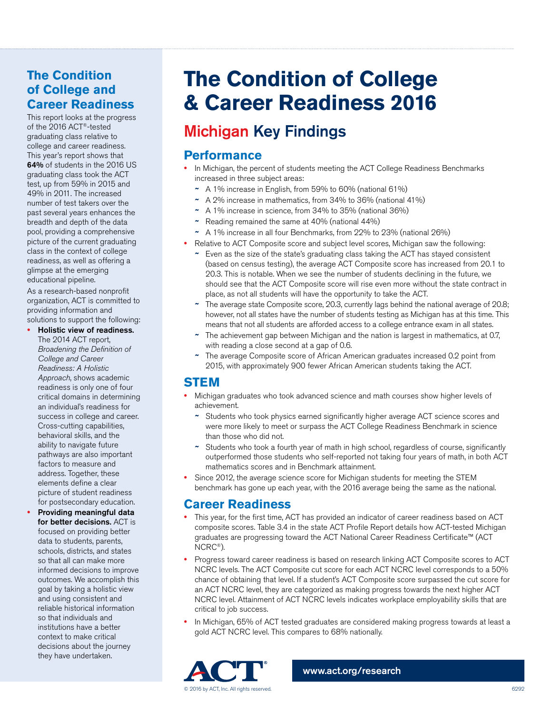## **The Condition of College and Career Readiness**

This report looks at the progress of the 2016 ACT®-tested graduating class relative to college and career readiness. This year's report shows that 64% of students in the 2016 US graduating class took the ACT test, up from 59% in 2015 and 49% in 2011. The increased number of test takers over the past several years enhances the breadth and depth of the data pool, providing a comprehensive picture of the current graduating class in the context of college readiness, as well as offering a glimpse at the emerging educational pipeline.

As a research-based nonprofit organization, ACT is committed to providing information and solutions to support the following:

- **•** Holistic view of readiness. The 2014 ACT report, *Broadening the Definition of College and Career Readiness: A Holistic Approach*, shows academic readiness is only one of four critical domains in determining an individual's readiness for success in college and career. Cross-cutting capabilities, behavioral skills, and the ability to navigate future pathways are also important factors to measure and address. Together, these elements define a clear picture of student readiness for postsecondary education.
- **•** Providing meaningful data for better decisions. ACT is focused on providing better data to students, parents, schools, districts, and states so that all can make more informed decisions to improve outcomes. We accomplish this goal by taking a holistic view and using consistent and reliable historical information so that individuals and institutions have a better context to make critical decisions about the journey they have undertaken.

## **The Condition of College & Career Readiness 2016**

## Michigan Key Findings

### **Performance**

- In Michigan, the percent of students meeting the ACT College Readiness Benchmarks increased in three subject areas:
	- **~** A 1% increase in English, from 59% to 60% (national 61%)
	- **~** A 2% increase in mathematics, from 34% to 36% (national 41%)
	- **~** A 1% increase in science, from 34% to 35% (national 36%)
	- **~** Reading remained the same at 40% (national 44%)
	- **~** A 1% increase in all four Benchmarks, from 22% to 23% (national 26%)
- **•** Relative to ACT Composite score and subject level scores, Michigan saw the following:
	- **~** Even as the size of the state's graduating class taking the ACT has stayed consistent (based on census testing), the average ACT Composite score has increased from 20.1 to 20.3. This is notable. When we see the number of students declining in the future, we should see that the ACT Composite score will rise even more without the state contract in place, as not all students will have the opportunity to take the ACT.
	- **~** The average state Composite score, 20.3, currently lags behind the national average of 20.8; however, not all states have the number of students testing as Michigan has at this time. This means that not all students are afforded access to a college entrance exam in all states.
	- **~** The achievement gap between Michigan and the nation is largest in mathematics, at 0.7, with reading a close second at a gap of 0.6.
	- **~** The average Composite score of African American graduates increased 0.2 point from 2015, with approximately 900 fewer African American students taking the ACT.

### **STEM**

- **•** Michigan graduates who took advanced science and math courses show higher levels of achievement.
	- **~** Students who took physics earned significantly higher average ACT science scores and were more likely to meet or surpass the ACT College Readiness Benchmark in science than those who did not.
	- **~** Students who took a fourth year of math in high school, regardless of course, significantly outperformed those students who self-reported not taking four years of math, in both ACT mathematics scores and in Benchmark attainment.
- **•** Since 2012, the average science score for Michigan students for meeting the STEM benchmark has gone up each year, with the 2016 average being the same as the national.

### **Career Readiness**

- **•** This year, for the first time, ACT has provided an indicator of career readiness based on ACT composite scores. Table 3.4 in the state ACT Profile Report details how ACT-tested Michigan graduates are progressing toward the ACT National Career Readiness Certificate™ (ACT NCRC®).
- **•** Progress toward career readiness is based on research linking ACT Composite scores to ACT NCRC levels. The ACT Composite cut score for each ACT NCRC level corresponds to a 50% chance of obtaining that level. If a student's ACT Composite score surpassed the cut score for an ACT NCRC level, they are categorized as making progress towards the next higher ACT NCRC level. Attainment of ACT NCRC levels indicates workplace employability skills that are critical to job success.
- **•** In Michigan, 65% of ACT tested graduates are considered making progress towards at least a gold ACT NCRC level. This compares to 68% nationally.



[www.act.org/research](http://www.act.org/research)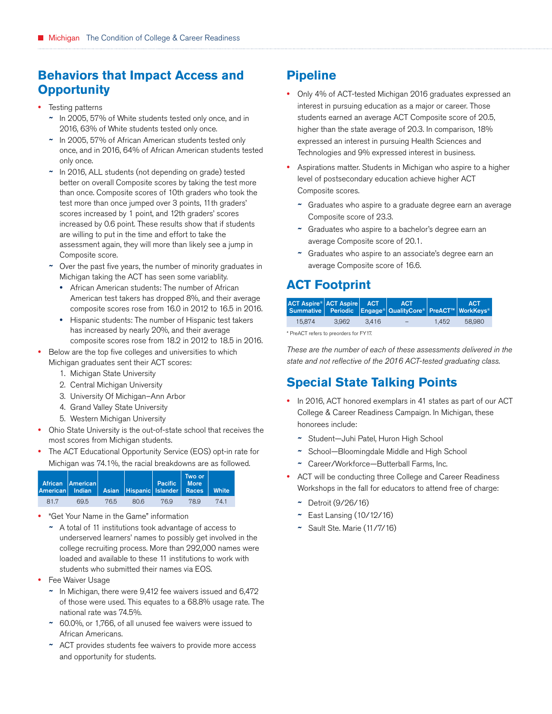## **Behaviors that Impact Access and Opportunity**

- **•** Testing patterns
	- **~** In 2005, 57% of White students tested only once, and in 2016, 63% of White students tested only once.
	- **~** In 2005, 57% of African American students tested only once, and in 2016, 64% of African American students tested only once.
	- **~** In 2016, ALL students (not depending on grade) tested better on overall Composite scores by taking the test more than once. Composite scores of 10th graders who took the test more than once jumped over 3 points, 11th graders' scores increased by 1 point, and 12th graders' scores increased by 0.6 point. These results show that if students are willing to put in the time and effort to take the assessment again, they will more than likely see a jump in Composite score.
	- **~** Over the past five years, the number of minority graduates in Michigan taking the ACT has seen some variablity.
		- **•** African American students: The number of African American test takers has dropped 8%, and their average composite scores rose from 16.0 in 2012 to 16.5 in 2016.
	- **•** Hispanic students: The number of Hispanic test takers has increased by nearly 20%, and their average composite scores rose from 18.2 in 2012 to 18.5 in 2016.
- **•** Below are the top five colleges and universities to which Michigan graduates sent their ACT scores:
	- 1. Michigan State University
	- 2. Central Michigan University
	- 3. University Of Michigan–Ann Arbor
	- 4. Grand Valley State University
	- 5. Western Michigan University
- **•** Ohio State University is the out-of-state school that receives the most scores from Michigan students.
- **•** The ACT Educational Opportunity Service (EOS) opt-in rate for Michigan was 74.1%, the racial breakdowns are as followed.

|     | African American<br>American Indian Asian Hispanic Islander Races White |      |      | Pacific   More | Two or |      |
|-----|-------------------------------------------------------------------------|------|------|----------------|--------|------|
| 817 | 69.5                                                                    | 76.5 | 80.6 | 769            | 789    | 74.1 |

**•** "Get Your Name in the Game" information

**~** A total of 11 institutions took advantage of access to underserved learners' names to possibly get involved in the college recruiting process. More than 292,000 names were loaded and available to these 11 institutions to work with students who submitted their names via EOS.

- **•** Fee Waiver Usage
	- **~** In Michigan, there were 9,412 fee waivers issued and 6,472 of those were used. This equates to a 68.8% usage rate. The national rate was 74.5%.
	- **~** 60.0%, or 1,766, of all unused fee waivers were issued to African Americans.
	- **~** ACT provides students fee waivers to provide more access and opportunity for students.

## **Pipeline**

- **•** Only 4% of ACT-tested Michigan 2016 graduates expressed an interest in pursuing education as a major or career. Those students earned an average ACT Composite score of 20.5, higher than the state average of 20.3. In comparison, 18% expressed an interest in pursuing Health Sciences and Technologies and 9% expressed interest in business.
- **•** Aspirations matter. Students in Michigan who aspire to a higher level of postsecondary education achieve higher ACT Composite scores.
	- **~** Graduates who aspire to a graduate degree earn an average Composite score of 23.3.
	- **~** Graduates who aspire to a bachelor's degree earn an average Composite score of 20.1.
	- **~** Graduates who aspire to an associate's degree earn an average Composite score of 16.6.

## **ACT Footprint**

| ACT Aspire® ACT Aspire ACT |       |       | <b>ACT</b><br>Summative Periodic Engage <sup>®</sup> QualityCore® PreACT <sup>™</sup> WorkKeys® |       | <b>ACT</b> |
|----------------------------|-------|-------|-------------------------------------------------------------------------------------------------|-------|------------|
| 15.874                     | 3.962 | 3.416 | $\overline{\phantom{0}}$                                                                        | 1.452 | 58.980     |

\* PreACT refers to preorders for FY17.

*These are the number of each of these assessments delivered in the state and not reflective of the 2016 ACT-tested graduating class.*

## **Special State Talking Points**

- **•** In 2016, ACT honored exemplars in 41 states as part of our ACT College & Career Readiness Campaign. In Michigan, these honorees include:
	- **~** Student—Juhi Patel, Huron High School
	- **~** School—Bloomingdale Middle and High School
	- **~** Career/Workforce—Butterball Farms, Inc.
- **•** ACT will be conducting three College and Career Readiness Workshops in the fall for educators to attend free of charge:
	- **~** Detroit (9/26/16)
	- **~** East Lansing (10/12/16)
	- **~** Sault Ste. Marie (11/7/16)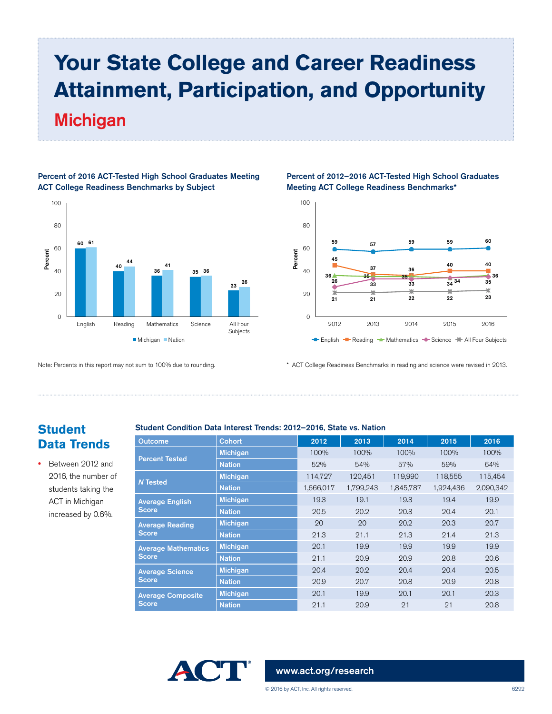## **Your State College and Career Readiness Attainment, Participation, and Opportunity** Michigan



#### Percent of 2016 ACT-Tested High School Graduates Meeting ACT College Readiness Benchmarks by Subject

#### Note: Percents in this report may not sum to 100% due to rounding.

#### Percent of 2012–2016 ACT-Tested High School Graduates Meeting ACT College Readiness Benchmarks\*



\* ACT College Readiness Benchmarks in reading and science were revised in 2013.

### **Student Data Trends**

**•** Between 2012 and 2016, the number of students taking the ACT in Michigan increased by 0.6%.

#### Student Condition Data Interest Trends: 2012–2016, State vs. Nation

| <b>Outcome</b>                         | <b>Cohort</b>   | 2012      | 2013      | 2014      | 2015      | 2016      |
|----------------------------------------|-----------------|-----------|-----------|-----------|-----------|-----------|
|                                        | <b>Michigan</b> | 100%      | 100%      | 100%      | 100%      | 100%      |
| <b>Percent Tested</b>                  | <b>Nation</b>   | 52%       | 54%       | 57%       | 59%       | 64%       |
| <b>N</b> Tested                        | <b>Michigan</b> | 114,727   | 120.451   | 119,990   | 118,555   | 115,454   |
|                                        | <b>Nation</b>   | 1,666,017 | 1,799,243 | 1,845,787 | 1,924,436 | 2,090,342 |
| <b>Average English</b><br><b>Score</b> | <b>Michigan</b> | 19.3      | 19.1      | 19.3      | 19.4      | 19.9      |
|                                        | <b>Nation</b>   | 20.5      | 20.2      | 20.3      | 20.4      | 20.1      |
| <b>Average Reading</b>                 | <b>Michigan</b> | 20        | 20        | 20.2      | 20.3      | 20.7      |
| <b>Score</b>                           | <b>Nation</b>   | 21.3      | 21.1      | 21.3      | 21.4      | 21.3      |
| <b>Average Mathematics</b>             | <b>Michigan</b> | 20.1      | 19.9      | 19.9      | 19.9      | 19.9      |
| <b>Score</b>                           | <b>Nation</b>   | 21.1      | 20.9      | 20.9      | 20.8      | 20.6      |
| <b>Average Science</b>                 | <b>Michigan</b> | 20.4      | 20.2      | 20.4      | 20.4      | 20.5      |
| <b>Score</b>                           | <b>Nation</b>   | 20.9      | 20.7      | 20.8      | 20.9      | 20.8      |
| <b>Average Composite</b>               | <b>Michigan</b> | 20.1      | 19.9      | 20.1      | 20.1      | 20.3      |
| <b>Score</b>                           | <b>Nation</b>   | 21.1      | 20.9      | 21        | 21        | 20.8      |



#### [www.act.org/research](http://www.act.org/research)

© 2016 by ACT, Inc. All rights reserved. 6292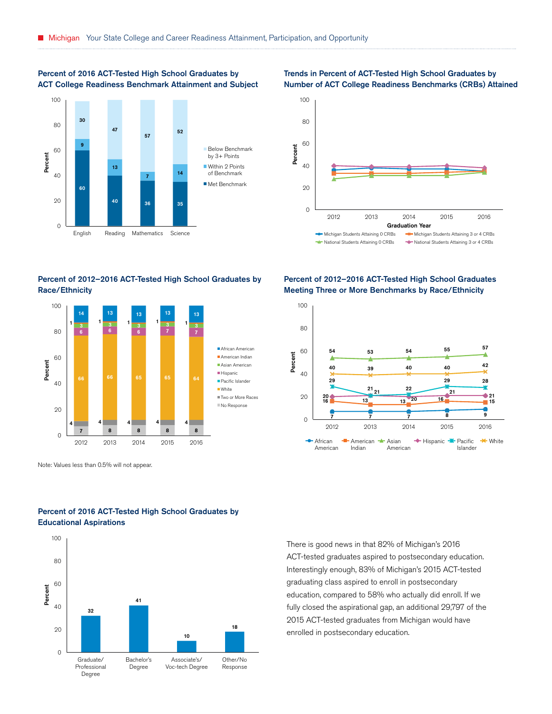#### Percent of 2016 ACT-Tested High School Graduates by ACT College Readiness Benchmark Attainment and Subject



#### Percent of 2012–2016 ACT-Tested High School Graduates by Race/Ethnicity



Note: Values less than 0.5% will not appear.



#### Percent of 2016 ACT-Tested High School Graduates by Educational Aspirations

#### Trends in Percent of ACT-Tested High School Graduates by Number of ACT College Readiness Benchmarks (CRBs) Attained



#### Percent of 2012–2016 ACT-Tested High School Graduates Meeting Three or More Benchmarks by Race/Ethnicity



There is good news in that 82% of Michigan's 2016 ACT-tested graduates aspired to postsecondary education. Interestingly enough, 83% of Michigan's 2015 ACT-tested graduating class aspired to enroll in postsecondary education, compared to 58% who actually did enroll. If we fully closed the aspirational gap, an additional 29,797 of the 2015 ACT-tested graduates from Michigan would have enrolled in postsecondary education.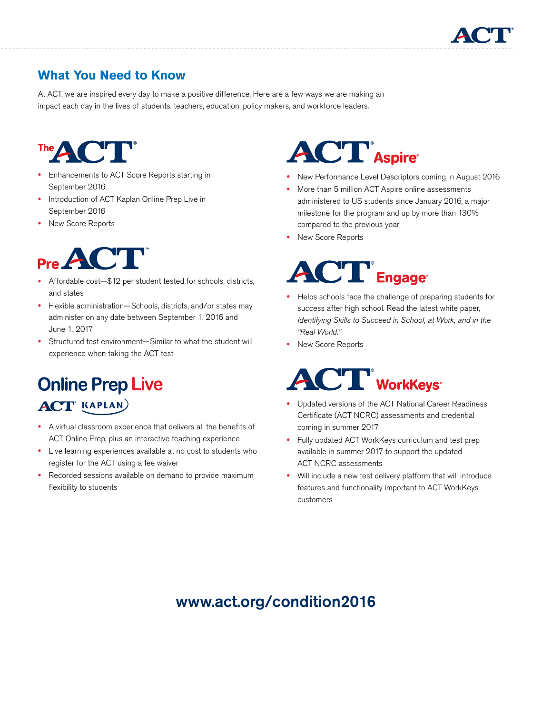

## **What You Need to Know**

At ACT, we are inspired every day to make a positive difference. Here are a few ways we are making an impact each day in the lives of students, teachers, education, policy makers, and workforce leaders.



- **•** Enhancements to ACT Score Reports starting in September 2016
- **•** Introduction of ACT Kaplan Online Prep Live in September 2016
- **•** New Score Reports



- **•** Affordable cost—\$12 per student tested for schools, districts, and states
- **•** Flexible administration—Schools, districts, and/or states may administer on any date between September 1, 2016 and June 1, 2017
- **•** Structured test environment—Similar to what the student will experience when taking the ACT test

# **Online Prep Live**

## **ACT KAPLAN**

- **•** A virtual classroom experience that delivers all the benefits of ACT Online Prep, plus an interactive teaching experience
- **•** Live learning experiences available at no cost to students who register for the ACT using a fee waiver
- **•** Recorded sessions available on demand to provide maximum flexibility to students

# **ACT** Aspire

- **•** New Performance Level Descriptors coming in August 2016
- **•** More than 5 million ACT Aspire online assessments administered to US students since January 2016, a major milestone for the program and up by more than 130% compared to the previous year
- **•** New Score Reports

# $\Gamma$ <sup>®</sup> Engage<sup>®</sup>

- **•** Helps schools face the challenge of preparing students for success after high school. Read the latest white paper, *Identifying Skills to Succeed in School, at Work, and in the "Real World."*
- **•** New Score Reports

# **ACT** WorkKeys

- **•** Updated versions of the ACT National Career Readiness Certificate (ACT NCRC) assessments and credential coming in summer 2017
- **•** Fully updated ACT WorkKeys curriculum and test prep available in summer 2017 to support the updated ACT NCRC assessments
- **•** Will include a new test delivery platform that will introduce features and functionality important to ACT WorkKeys customers

## www.act.org/condition2016